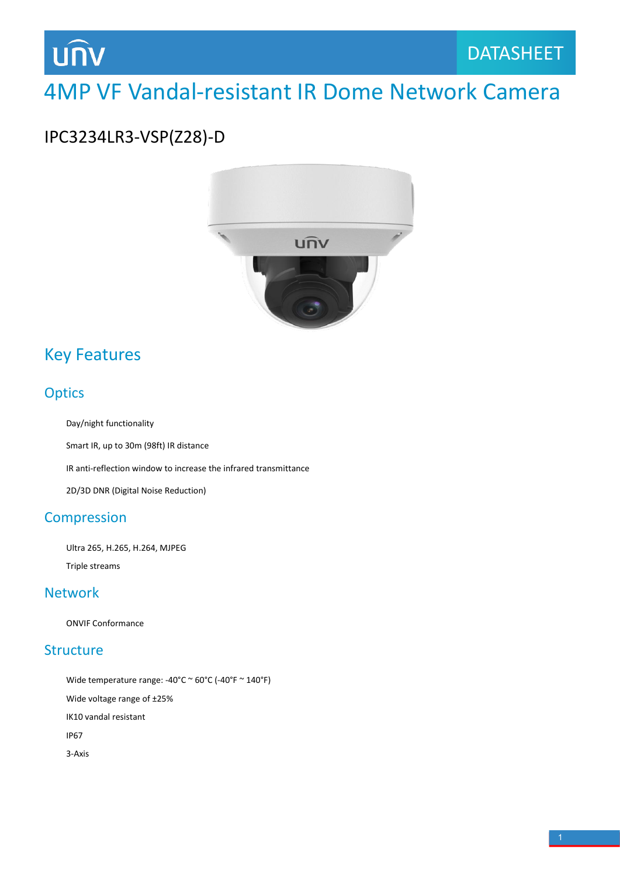# **UNV**

# 4MP VF Vandal-resistant IR Dome Network Camera

### IPC3234LR3-VSP(Z28)-D



### Key Features

#### **Optics**

Day/night functionality

Smart IR, up to 30m (98ft) IR distance

IR anti-reflection window to increase the infrared transmittance

2D/3D DNR (Digital Noise Reduction)

#### Compression

Ultra 265, H.265, H.264, MJPEG Triple streams

#### Network

ONVIF Conformance

#### **Structure**

Wide temperature range:  $-40^{\circ}$ C  $\sim$  60 $^{\circ}$ C ( $-40^{\circ}$ F  $\sim$  140 $^{\circ}$ F) Wide voltage range of ±25% IK10 vandal resistant IP67 3-Axis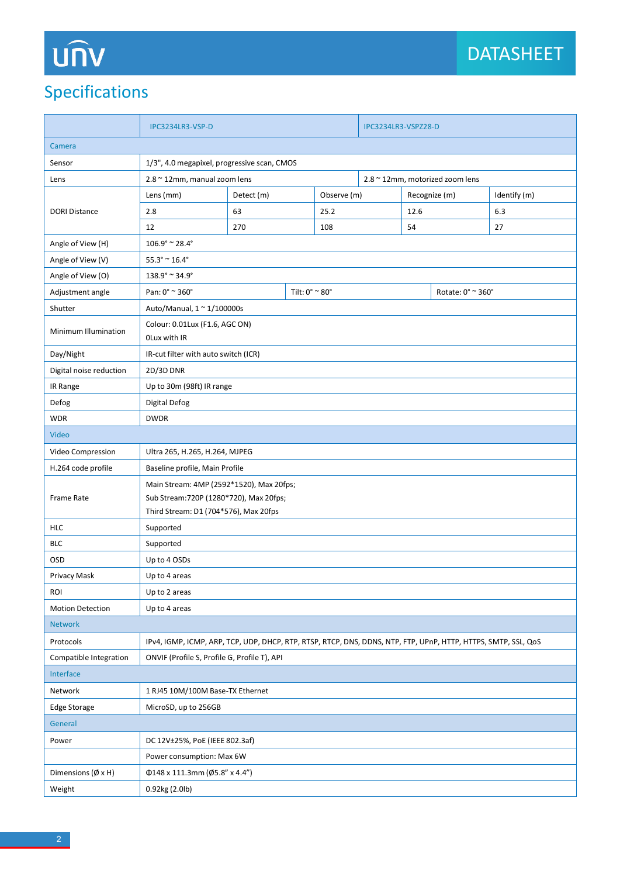# UNV

## Specifications

|                                                       | IPC3234LR3-VSP-D                                                                                               |               |      | IPC3234LR3-VSPZ28-D                       |  |               |  |              |  |
|-------------------------------------------------------|----------------------------------------------------------------------------------------------------------------|---------------|------|-------------------------------------------|--|---------------|--|--------------|--|
| Camera                                                |                                                                                                                |               |      |                                           |  |               |  |              |  |
| Sensor<br>1/3", 4.0 megapixel, progressive scan, CMOS |                                                                                                                |               |      |                                           |  |               |  |              |  |
| Lens                                                  | 2.8 ~ 12mm, manual zoom lens                                                                                   |               |      | 2.8 ~ 12mm, motorized zoom lens           |  |               |  |              |  |
| <b>DORI Distance</b>                                  | Lens (mm)                                                                                                      | Detect (m)    |      | Observe (m)                               |  | Recognize (m) |  | Identify (m) |  |
|                                                       | 2.8                                                                                                            | 63            | 25.2 |                                           |  | 12.6          |  | 6.3          |  |
|                                                       | 12                                                                                                             | 270           | 108  |                                           |  | 54            |  | 27           |  |
| Angle of View (H)                                     | $106.9^{\circ}$ ~ 28.4°                                                                                        |               |      |                                           |  |               |  |              |  |
| Angle of View (V)                                     | $55.3^{\circ} \approx 16.4^{\circ}$                                                                            |               |      |                                           |  |               |  |              |  |
| Angle of View (O)                                     | $138.9^{\circ} \approx 34.9^{\circ}$                                                                           |               |      |                                           |  |               |  |              |  |
| Adjustment angle                                      | Pan: 0° ~ 360°<br>Tilt: $0^{\circ}$ $\sim$ $80^{\circ}$                                                        |               |      | Rotate: $0^{\circ}$ $\sim$ 360 $^{\circ}$ |  |               |  |              |  |
| Shutter                                               | Auto/Manual, 1 ~ 1/100000s                                                                                     |               |      |                                           |  |               |  |              |  |
| Minimum Illumination                                  | Colour: 0.01Lux (F1.6, AGC ON)<br>OLux with IR                                                                 |               |      |                                           |  |               |  |              |  |
| Day/Night                                             | IR-cut filter with auto switch (ICR)                                                                           |               |      |                                           |  |               |  |              |  |
| Digital noise reduction                               | 2D/3D DNR                                                                                                      |               |      |                                           |  |               |  |              |  |
| IR Range                                              | Up to 30m (98ft) IR range                                                                                      |               |      |                                           |  |               |  |              |  |
| Defog                                                 | Digital Defog                                                                                                  |               |      |                                           |  |               |  |              |  |
| <b>WDR</b>                                            | <b>DWDR</b>                                                                                                    |               |      |                                           |  |               |  |              |  |
| Video                                                 |                                                                                                                |               |      |                                           |  |               |  |              |  |
| Video Compression                                     | Ultra 265, H.265, H.264, MJPEG                                                                                 |               |      |                                           |  |               |  |              |  |
| H.264 code profile                                    | Baseline profile, Main Profile                                                                                 |               |      |                                           |  |               |  |              |  |
| Frame Rate                                            | Main Stream: 4MP (2592*1520), Max 20fps;                                                                       |               |      |                                           |  |               |  |              |  |
|                                                       | Sub Stream: 720P (1280*720), Max 20fps;                                                                        |               |      |                                           |  |               |  |              |  |
|                                                       | Third Stream: D1 (704*576), Max 20fps                                                                          |               |      |                                           |  |               |  |              |  |
| <b>HLC</b>                                            | Supported                                                                                                      |               |      |                                           |  |               |  |              |  |
| BLC                                                   | Supported                                                                                                      |               |      |                                           |  |               |  |              |  |
| OSD                                                   | Up to 4 OSDs                                                                                                   |               |      |                                           |  |               |  |              |  |
| Privacy Mask                                          | Up to 4 areas                                                                                                  |               |      |                                           |  |               |  |              |  |
| ROI                                                   |                                                                                                                | Up to 2 areas |      |                                           |  |               |  |              |  |
| <b>Motion Detection</b>                               | Up to 4 areas                                                                                                  |               |      |                                           |  |               |  |              |  |
| <b>Network</b>                                        |                                                                                                                |               |      |                                           |  |               |  |              |  |
| Protocols                                             | IPv4, IGMP, ICMP, ARP, TCP, UDP, DHCP, RTP, RTSP, RTCP, DNS, DDNS, NTP, FTP, UPnP, HTTP, HTTPS, SMTP, SSL, QoS |               |      |                                           |  |               |  |              |  |
| Compatible Integration                                | ONVIF (Profile S, Profile G, Profile T), API                                                                   |               |      |                                           |  |               |  |              |  |
| Interface                                             |                                                                                                                |               |      |                                           |  |               |  |              |  |
| Network                                               | 1 RJ45 10M/100M Base-TX Ethernet                                                                               |               |      |                                           |  |               |  |              |  |
| Edge Storage                                          | MicroSD, up to 256GB                                                                                           |               |      |                                           |  |               |  |              |  |
| General                                               |                                                                                                                |               |      |                                           |  |               |  |              |  |
| Power                                                 | DC 12V±25%, PoE (IEEE 802.3af)                                                                                 |               |      |                                           |  |               |  |              |  |
|                                                       | Power consumption: Max 6W                                                                                      |               |      |                                           |  |               |  |              |  |
| Dimensions $(\emptyset \times H)$                     | $\Phi$ 148 x 111.3mm (Ø5.8" x 4.4")                                                                            |               |      |                                           |  |               |  |              |  |
| Weight                                                | 0.92kg (2.0lb)                                                                                                 |               |      |                                           |  |               |  |              |  |